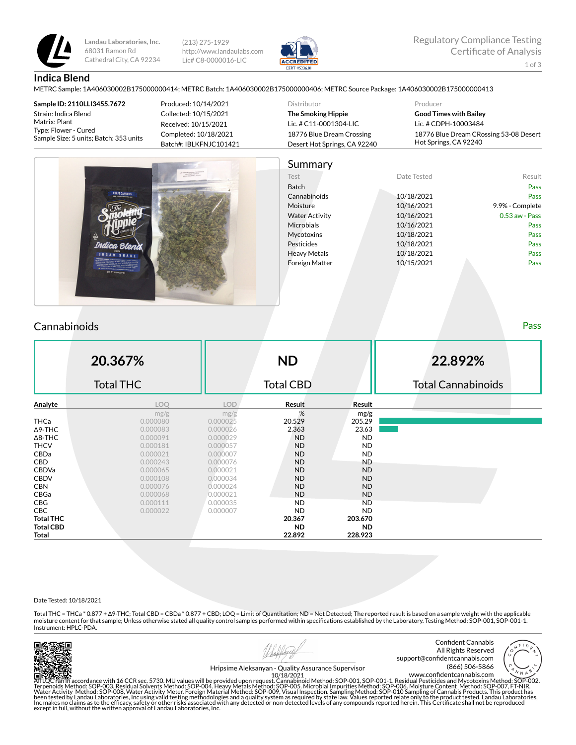

**Landau Laboratories, Inc.** 68031 Ramon Rd Cathedral City, CA 92234 (213) 275-1929 http://www.landaulabs.com Lic# C8-0000016-LIC



## **Indica Blend**

METRC Sample: 1A406030002B175000000414; METRC Batch: 1A406030002B175000000406; METRC Source Package: 1A406030002B175000000413

**Sample ID: 2110LLI3455.7672** Strain: Indica Blend Matrix: Plant Type: Flower - Cured Sample Size: 5 units; Batch: 353 units Produced: 10/14/2021 Collected: 10/15/2021 Received: 10/15/2021 Completed: 10/18/2021 Batch#: IBLKFNJC101421

### Distributor **The Smoking Hippie** Lic. # C11-0001304-LIC 18776 Blue Dream Crossing Desert Hot Springs, CA 92240 Producer **Good Times with Bailey** Lic. # CDPH-10003484 18776 Blue Dream CRossing 53-08 Desert Hot Springs, CA 92240



| Summary               |             |                  |
|-----------------------|-------------|------------------|
| Test                  | Date Tested | Result           |
| <b>Batch</b>          |             | <b>Pass</b>      |
| Cannabinoids          | 10/18/2021  | <b>Pass</b>      |
| Moisture              | 10/16/2021  | 9.9% - Complete  |
| <b>Water Activity</b> | 10/16/2021  | $0.53$ aw - Pass |
| Microbials            | 10/16/2021  | Pass             |
| <b>Mycotoxins</b>     | 10/18/2021  | Pass             |
| Pesticides            | 10/18/2021  | Pass             |
| <b>Heavy Metals</b>   | 10/18/2021  | Pass             |
| Foreign Matter        | 10/15/2021  | Pass             |

# Cannabinoids Pass

**20.367%** Total THC **ND** Total CBD **22.892%** Total Cannabinoids **Analyte LOQ LOD Result Result** mg/g  $mg/g$  mg/g  $\%$  mg/g **THCa** 0.000080 0.000025 **20.529 205.29** 205.29  $\Delta$ 9-THC 0.0000083 0.0000083 0.000026 2.363 23.63 Δ8-THC 0.000091 0.000029 ND ND **THCV 0.000181 0.000057 ND ND** CBDa 0.000021 0.000007 ND ND CBD 0.000243 0.000076 ND ND CBDVa 0.000065 0.000021 ND ND CBDV 0.000108 0.000034 ND ND **CBN 0.000076 0.000024 ND ND** CBGa 0.000068 0.000021 ND ND **CBG** 0.000111 0.0000035 ND ND CBC 0.000022 0.000007 ND ND **Total THC 20.367 203.670 Total CBD ND ND Total 22.892 228.923**

### Date Tested: 10/18/2021

Total THC = THCa \* 0.877 + Δ9-THC; Total CBD = CBDa \* 0.877 + CBD; LOQ = Limit of Quantitation; ND = Not Detected; The reported result is based on a sample weight with the applicable<br>moisture content for that sample; Unle Instrument: HPLC-PDA.



Confident Cannabis All Rights Reserved support@confidentcannabis.com (866) 506-5866



Hripsime Aleksanyan - Quality Assurance Supervisor

All LQC ran in accordance with 16 CCR sec. 5730. MU values will be provided upon request. Cannabinoid Method: SOP-001, SOP-001-1. Residual Pesticides and Mycotoxins Method: SOP-002.<br>Terpenoids Method: SOP-003. Residual Sol www.confidentcannabis.com 10/18/2021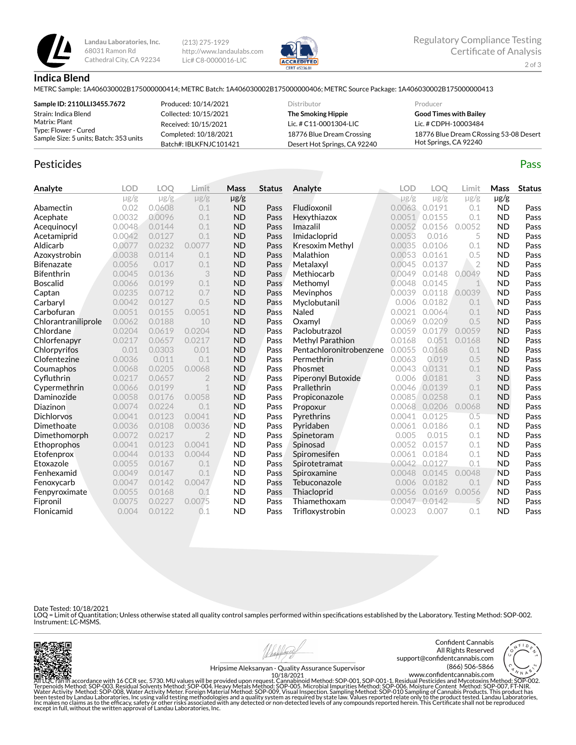

**Landau Laboratories, Inc.** 68031 Ramon Rd Cathedral City, CA 92234

(213) 275-1929 http://www.landaulabs.com Lic# C8-0000016-LIC



## **Indica Blend**

METRC Sample: 1A406030002B175000000414; METRC Batch: 1A406030002B175000000406; METRC Source Package: 1A406030002B175000000413

| Sample ID: 2110LLI3455.7672                                                     | Produced: 10/14/2021   | Distributor                  | Producer                               |
|---------------------------------------------------------------------------------|------------------------|------------------------------|----------------------------------------|
| Strain: Indica Blend                                                            | Collected: 10/15/2021  | The Smoking Hippie           | <b>Good Times with Bailey</b>          |
| Matrix: Plant<br>Type: Flower - Cured<br>Sample Size: 5 units; Batch: 353 units | Received: 10/15/2021   | Lic. # C11-0001304-LIC       | Lic. # CDPH-10003484                   |
|                                                                                 | Completed: 10/18/2021  | 18776 Blue Dream Crossing    | 18776 Blue Dream CRossing 53-08 Desert |
|                                                                                 | Batch#: IBLKFNJC101421 | Desert Hot Springs, CA 92240 | Hot Springs, CA 92240                  |

# Pesticides **Passage Contract Contract Contract Contract Contract Contract Contract Contract Contract Contract Contract Contract Contract Contract Contract Contract Contract Contract Contract Contract Contract Contract Cont**

**Analyte LOD LOQ Limit Mass Status**  $\mu$ g/g  $\mu$ g/g  $\mu$ g/g  $\mu$ g/g Abamectin 0.02 0.0608 0.1 ND Pass Acephate 0.0032 0.0096 0.1 ND Pass Acequinocyl 0.0048 0.0144 0.1 ND Pass Acetamiprid 0.0042 0.0127 0.1 ND Pass Aldicarb 0.0077 0.0232 0.0077 ND Pass Azoxystrobin 0.0038 0.0114 0.1 ND Pass **Bifenazate** 0.0056 0.017 0.1 **ND Pass** Bifenthrin 0.0045 0.0136 3 ND Pass Boscalid 0.0066 0.0199 0.1 ND Pass **Captan 19 0.0235 0.0712 0.7 ND Pass** Carbaryl 0.0042 0.0127 0.5 ND Pass **Carbofuran 1888** 0.0051 0.0155 0.0051 **ND Pass**<br> **Chlorantraniliprole** 0.0062 0.0188 10 **ND Pass** Chlorantraniliprole 0.0062 0.0188 10 ND Pass Chlordane 0.0204 0.0619 0.0204 ND Pass Chlorfenapyr 0.0217 0.0657 0.0217 ND Pass Chlorpyrifos 0.01 0.0303 0.01 ND Pass **Clofentezine** 0.0036 0.011 0.1 **ND Pass** Coumaphos 0.0068 0.0205 0.0068 ND Pass Cyuthrin 0.0217 0.0657 2 ND Pass Cypermethrin 0.0066 0.0199 1 ND Pass Daminozide 0.0058 0.0176 0.0058 ND Pass **Diazinon** 0.0074 0.0224 0.1 **ND Pass** Dichlorvos 0.0041 0.0123 0.0041 ND Pass Dimethoate 0.0036 0.0108 0.0036 ND Pass **Dimethomorph** 0.0072 0.0217 2 **ND Pass** Ethoprophos 0.0041 0.0123 0.0041 ND Pass Etofenprox 0.0044 0.0133 0.0044 ND Pass Etoxazole 0.0055 0.0167 0.1 ND Pass **Fenhexamid** 0.0049 0.0147 0.1 **ND Pass** Fenoxycarb 0.0047 0.0142 0.0047 ND Pass Fenpyroximate 0.0055 0.0168 0.1 ND Pass Fipronil 0.0075 0.0227 0.0075 ND Pass Flonicamid 0.004 0.0122 0.1 ND Pass **Analyte LOD LOQ Limit Mass Status**  $\mu$ g/g  $\mu$ g/g  $\mu$ g/g  $\mu$ g/g Fludioxonil 0.0063 0.0191 0.1 ND Pass Hexythiazox 0.0051 0.0155 0.1 ND Pass **Imazalil 1988** 0.0052 0.0156 0.0052 **ND Pass** Imidacloprid 0.0053 0.016 5 ND Pass **Kresoxim Methyl** 0.0035 0.0106 0.1 **ND Pass Malathion** 0.0053 0.0161 0.5 **ND Pass Metalaxyl 0.0045 0.0137 2 ND Pass** Methiocarb 0.0049 0.0148 0.0049 ND Pass **Methomyl** 0.0048 0.0145 1 **ND Pass** Mevinphos 0.0039 0.0118 0.0039 ND Pass Myclobutanil 0.006 0.0182 0.1 ND Pass Naled 0.0021 0.0064 0.1 ND Pass **Oxamyl** 0.0069 0.0209 0.5 **ND Pass** Paclobutrazol 0.0059 0.0179 0.0059 ND Pass **Methyl Parathion** 0.0168 0.051 0.0168 **ND Pass** Pentachloronitrobenzene 0.0055 0.0168 0.1 ND Pass **Permethrin 1992 0.0063 0.019 0.5 ND Pass Phosmet** 0.0043 0.0131 0.1 **ND Pass** Piperonyl Butoxide 0.006 0.0181 3 ND Pass **Prallethrin 0.0046 0.0139 0.1 ND Pass** Propiconazole 0.0085 0.0258 0.1 ND Pass Propoxur 0.0068 0.0206 0.0068 ND Pass **Pyrethrins** 0.0041 0.0125 0.5 **ND Pass** Pyridaben 0.0061 0.0186 0.1 ND Pass **Spinetoram 0.005 0.015 0.1 ND Pass** Spinosad 0.0052 0.0157 0.1 ND Pass **Spiromesifen** 0.0061 0.0184 0.1 **ND Pass** Spirotetramat 0.0042 0.0127 0.1 ND Pass **Spiroxamine** 0.0048 0.0145 0.0048 **ND Pass** Tebuconazole 0.006 0.0182 0.1 ND Pass **Thiacloprid** 0.0056 0.0169 0.0056 ND Pass Thiamethoxam 0.0047 0.0142 5 ND Pass Trifloxystrobin 0.0023 0.007 0.1 ND Pass

Date Tested: 10/18/2021

LOQ = Limit of Quantitation; Unless otherwise stated all quality control samples performed within specifications established by the Laboratory. Testing Method: SOP-002. Instrument: LC-MSMS.







Hripsime Aleksanyan - Quality Assurance Supervisor 10/18/2021

All'LOC Fan'in accordance with 16 CCR sec. 5730. MU values will be provided upon request. Cannabinoid Method: SOP-001, SOP-001-1. Residual Pesticides and Mycotoxins Method: SOP-002.<br>Terpenoids Method: SOP-003. Residual Sol except in full, without the written approval of Landau Laboratories, Inc. www.confidentcannabis.com